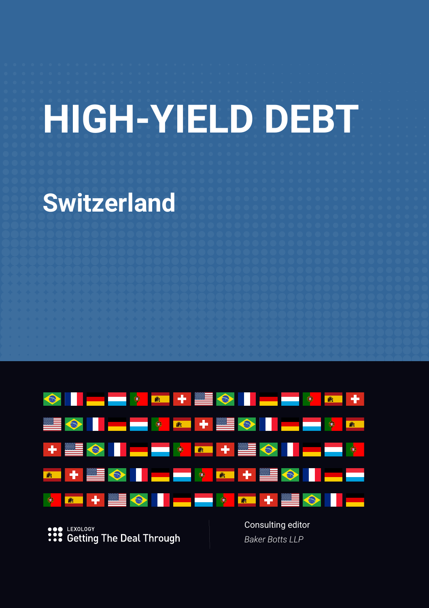# **HIGH-YIELD DEBT**

# **Switzerland**



LEXOLOGY **:::** Getting The Deal Through Consulting editor *Baker Botts LLP*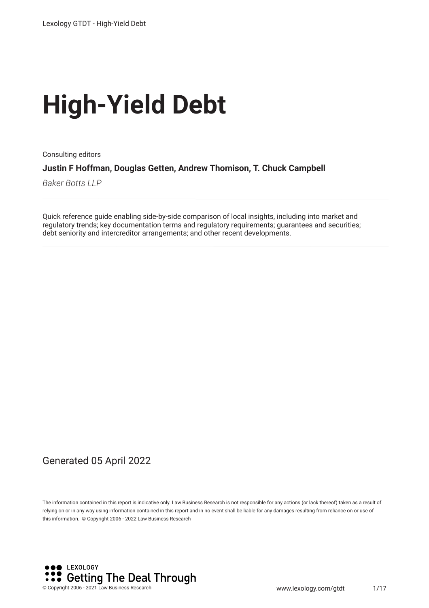# **High-Yield Debt**

Consulting editors **Justin F Hoffman, Douglas Getten, Andrew Thomison, T. Chuck Campbell**

*Baker Botts LLP*

Quick reference guide enabling side-by-side comparison of local insights, including into market and regulatory trends; key documentation terms and regulatory requirements; guarantees and securities; debt seniority and intercreditor arrangements; and other recent developments.

#### Generated 05 April 2022

The information contained in this report is indicative only. Law Business Research is not responsible for any actions (or lack thereof) taken as a result of relying on or in any way using information contained in this report and in no event shall be liable for any damages resulting from reliance on or use of this information. © Copyright 2006 - 2022 Law Business Research

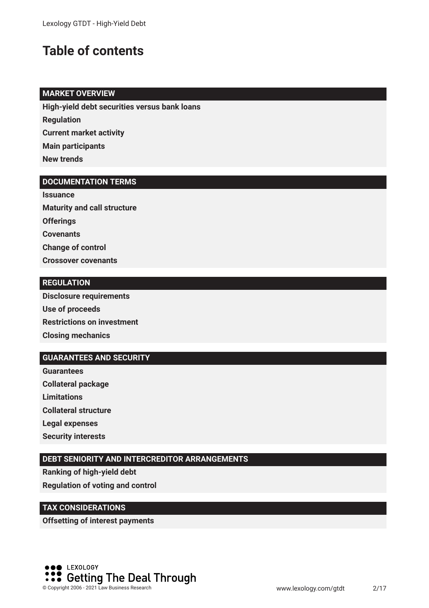### **Table of contents**

#### **MARKET OVERVIEW**

**High-yield debt securities versus bank loans**

**Regulation**

**Current market activity**

**Main participants**

**New trends**

#### **DOCUMENTATION TERMS**

**Issuance Maturity and call structure Offerings Covenants Change of control Crossover covenants**

#### **REGULATION**

**Disclosure requirements Use of proceeds Restrictions on investment Closing mechanics**

#### **GUARANTEES AND SECURITY**

**Guarantees Collateral package Limitations Collateral structure Legal expenses Security interests**

#### **DEBT SENIORITY AND INTERCREDITOR ARRANGEMENTS**

**Ranking of high-yield debt Regulation of voting and control**

#### **TAX CONSIDERATIONS**

**Offsetting of interest payments**

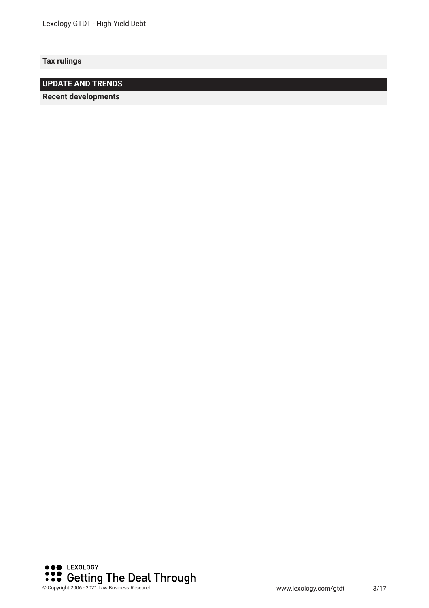**Tax rulings**

**UPDATE AND TRENDS**

**Recent developments** 

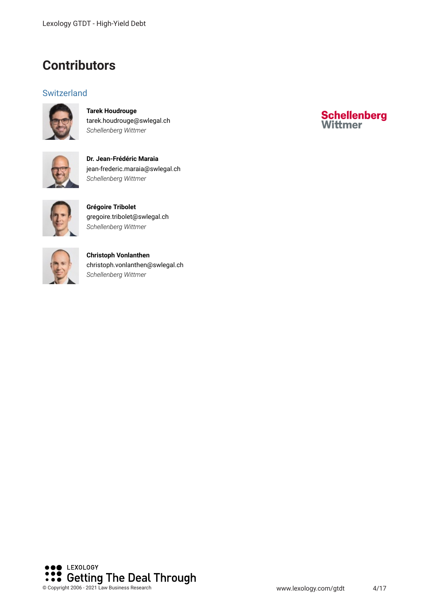### **Contributors**

#### **Switzerland**



**Tarek Houdrouge** tarek.houdrouge@swlegal.ch *Schellenberg Wittmer*



**Dr. Jean-Frédéric Maraia** jean-frederic.maraia@swlegal.ch *Schellenberg Wittmer*



**Grégoire Tribolet** gregoire.tribolet@swlegal.ch *Schellenberg Wittmer*



**Christoph Vonlanthen** christoph.vonlanthen@swlegal.ch *Schellenberg Wittmer*



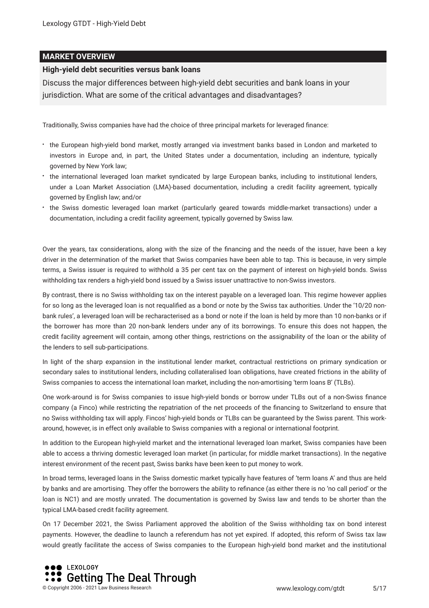#### **MARKET OVERVIEW**

#### **High-yield debt securities versus bank loans**

Discuss the major differences between high-yield debt securities and bank loans in your jurisdiction. What are some of the critical advantages and disadvantages?

Traditionally, Swiss companies have had the choice of three principal markets for leveraged fnance:

- the European high-yield bond market, mostly arranged via investment banks based in London and marketed to investors in Europe and, in part, the United States under a documentation, including an indenture, typically governed by New York law;
- the international leveraged loan market syndicated by large European banks, including to institutional lenders, under a Loan Market Association (LMA)-based documentation, including a credit facility agreement, typically governed by English law; and/or
- the Swiss domestic leveraged loan market (particularly geared towards middle-market transactions) under a documentation, including a credit facility agreement, typically governed by Swiss law.

Over the years, tax considerations, along with the size of the fnancing and the needs of the issuer, have been a key driver in the determination of the market that Swiss companies have been able to tap. This is because, in very simple terms, a Swiss issuer is required to withhold a 35 per cent tax on the payment of interest on high-yield bonds. Swiss withholding tax renders a high-yield bond issued by a Swiss issuer unattractive to non-Swiss investors.

By contrast, there is no Swiss withholding tax on the interest payable on a leveraged loan. This regime however applies for so long as the leveraged loan is not requalifed as a bond or note by the Swiss tax authorities. Under the '10/20 nonbank rules', a leveraged loan will be recharacterised as a bond or note if the loan is held by more than 10 non-banks or if the borrower has more than 20 non-bank lenders under any of its borrowings. To ensure this does not happen, the credit facility agreement will contain, among other things, restrictions on the assignability of the loan or the ability of the lenders to sell sub-participations.

In light of the sharp expansion in the institutional lender market, contractual restrictions on primary syndication or secondary sales to institutional lenders, including collateralised loan obligations, have created frictions in the ability of Swiss companies to access the international loan market, including the non-amortising 'term loans B' (TLBs).

One work-around is for Swiss companies to issue high-yield bonds or borrow under TLBs out of a non-Swiss fnance company (a Finco) while restricting the repatriation of the net proceeds of the fnancing to Switzerland to ensure that no Swiss withholding tax will apply. Fincos' high-yield bonds or TLBs can be guaranteed by the Swiss parent. This workaround, however, is in effect only available to Swiss companies with a regional or international footprint.

In addition to the European high-yield market and the international leveraged loan market, Swiss companies have been able to access a thriving domestic leveraged loan market (in particular, for middle market transactions). In the negative interest environment of the recent past, Swiss banks have been keen to put money to work.

In broad terms, leveraged loans in the Swiss domestic market typically have features of 'term loans A' and thus are held by banks and are amortising. They offer the borrowers the ability to refnance (as either there is no 'no call period' or the loan is NC1) and are mostly unrated. The documentation is governed by Swiss law and tends to be shorter than the typical LMA-based credit facility agreement.

On 17 December 2021, the Swiss Parliament approved the abolition of the Swiss withholding tax on bond interest payments. However, the deadline to launch a referendum has not yet expired. If adopted, this reform of Swiss tax law would greatly facilitate the access of Swiss companies to the European high-yield bond market and the institutional

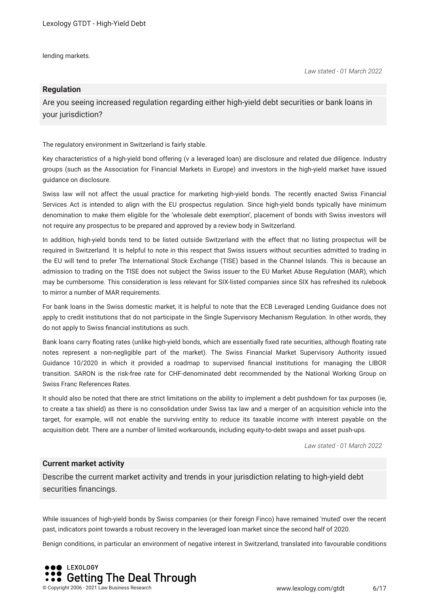lending markets.

#### **Regulation**

Are you seeing increased regulation regarding either high-yield debt securities or bank loans in your jurisdiction?

The regulatory environment in Switzerland is fairly stable.

Key characteristics of a high-yield bond offering (v a leveraged loan) are disclosure and related due diligence. Industry groups (such as the Association for Financial Markets in Europe) and investors in the high-yield market have issued guidance on disclosure.

Swiss law will not affect the usual practice for marketing high-yield bonds. The recently enacted Swiss Financial Services Act is intended to align with the EU prospectus regulation. Since high-yield bonds typically have minimum denomination to make them eligible for the 'wholesale debt exemption', placement of bonds with Swiss investors will not require any prospectus to be prepared and approved by a review body in Switzerland.

In addition, high-yield bonds tend to be listed outside Switzerland with the effect that no listing prospectus will be required in Switzerland. It is helpful to note in this respect that Swiss issuers without securities admitted to trading in the EU will tend to prefer The International Stock Exchange (TISE) based in the Channel Islands. This is because an admission to trading on the TISE does not subject the Swiss issuer to the EU Market Abuse Regulation (MAR), which may be cumbersome. This consideration is less relevant for SIX-listed companies since SIX has refreshed its rulebook to mirror a number of MAR requirements.

For bank loans in the Swiss domestic market, it is helpful to note that the ECB Leveraged Lending Guidance does not apply to credit institutions that do not participate in the Single Supervisory Mechanism Regulation. In other words, they do not apply to Swiss fnancial institutions as such.

Bank loans carry foating rates (unlike high-yield bonds, which are essentially fxed rate securities, although foating rate notes represent a non-negligible part of the market). The Swiss Financial Market Supervisory Authority issued Guidance 10/2020 in which it provided a roadmap to supervised fnancial institutions for managing the LIBOR transition. SARON is the risk-free rate for CHF-denominated debt recommended by the National Working Group on Swiss Franc References Rates.

It should also be noted that there are strict limitations on the ability to implement a debt pushdown for tax purposes (ie, to create a tax shield) as there is no consolidation under Swiss tax law and a merger of an acquisition vehicle into the target, for example, will not enable the surviving entity to reduce its taxable income with interest payable on the acquisition debt. There are a number of limited workarounds, including equity-to-debt swaps and asset push-ups.

*Law stated - 01 March 2022*

#### **Current market activity**

Describe the current market activity and trends in your jurisdiction relating to high-yield debt securities financings.

While issuances of high-yield bonds by Swiss companies (or their foreign Finco) have remained 'muted' over the recent past, indicators point towards a robust recovery in the leveraged loan market since the second half of 2020.

Benign conditions, in particular an environment of negative interest in Switzerland, translated into favourable conditions

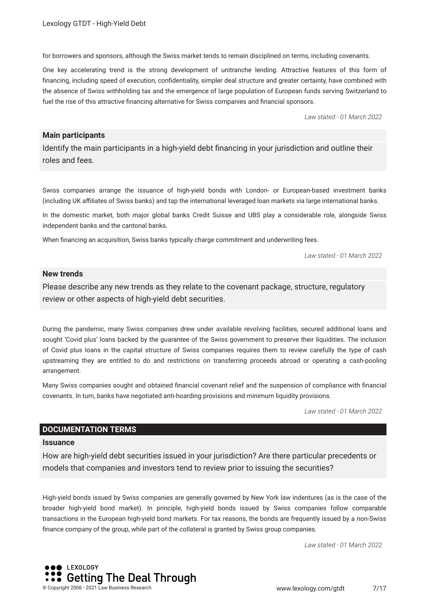for borrowers and sponsors, although the Swiss market tends to remain disciplined on terms, including covenants.

One key accelerating trend is the strong development of unitranche lending. Attractive features of this form of fnancing, including speed of execution, confdentiality, simpler deal structure and greater certainty, have combined with the absence of Swiss withholding tax and the emergence of large population of European funds serving Switzerland to fuel the rise of this attractive financing alternative for Swiss companies and financial sponsors.

*Law stated - 01 March 2022*

#### **Main participants**

Identify the main participants in a high-yield debt fnancing in your jurisdiction and outline their roles and fees.

Swiss companies arrange the issuance of high-yield bonds with London- or European-based investment banks (including UK afliates of Swiss banks) and tap the international leveraged loan markets via large international banks.

In the domestic market, both major global banks Credit Suisse and UBS play a considerable role, alongside Swiss independent banks and the cantonal banks.

When fnancing an acquisition, Swiss banks typically charge commitment and underwriting fees.

*Law stated - 01 March 2022*

#### **New trends**

Please describe any new trends as they relate to the covenant package, structure, regulatory review or other aspects of high-yield debt securities.

During the pandemic, many Swiss companies drew under available revolving facilities, secured additional loans and sought 'Covid plus' loans backed by the guarantee of the Swiss government to preserve their liquidities. The inclusion of Covid plus loans in the capital structure of Swiss companies requires them to review carefully the type of cash upstreaming they are entitled to do and restrictions on transferring proceeds abroad or operating a cash-pooling arrangement.

Many Swiss companies sought and obtained fnancial covenant relief and the suspension of compliance with fnancial covenants. In turn, banks have negotiated anti-hoarding provisions and minimum liquidity provisions.

*Law stated - 01 March 2022*

#### **DOCUMENTATION TERMS**

#### **Issuance**

How are high-yield debt securities issued in your jurisdiction? Are there particular precedents or models that companies and investors tend to review prior to issuing the securities?

High-yield bonds issued by Swiss companies are generally governed by New York law indentures (as is the case of the broader high-yield bond market). In principle, high-yield bonds issued by Swiss companies follow comparable transactions in the European high-yield bond markets. For tax reasons, the bonds are frequently issued by a non-Swiss fnance company of the group, while part of the collateral is granted by Swiss group companies.

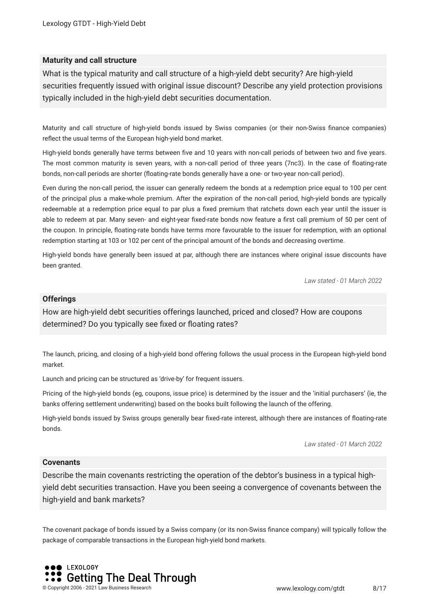#### **Maturity and call structure**

What is the typical maturity and call structure of a high-yield debt security? Are high-yield securities frequently issued with original issue discount? Describe any yield protection provisions typically included in the high-yield debt securities documentation.

Maturity and call structure of high-yield bonds issued by Swiss companies (or their non-Swiss fnance companies) refect the usual terms of the European high-yield bond market.

High-yield bonds generally have terms between fve and 10 years with non-call periods of between two and fve years. The most common maturity is seven years, with a non-call period of three years (7nc3). In the case of foating-rate bonds, non-call periods are shorter (foating-rate bonds generally have a one- or two-year non-call period).

Even during the non-call period, the issuer can generally redeem the bonds at a redemption price equal to 100 per cent of the principal plus a make-whole premium. After the expiration of the non-call period, high-yield bonds are typically redeemable at a redemption price equal to par plus a fixed premium that ratchets down each year until the issuer is able to redeem at par. Many seven- and eight-year fxed-rate bonds now feature a frst call premium of 50 per cent of the coupon. In principle, foating-rate bonds have terms more favourable to the issuer for redemption, with an optional redemption starting at 103 or 102 per cent of the principal amount of the bonds and decreasing overtime.

High-yield bonds have generally been issued at par, although there are instances where original issue discounts have been granted.

*Law stated - 01 March 2022*

#### **Offerings**

How are high-yield debt securities offerings launched, priced and closed? How are coupons determined? Do you typically see fxed or foating rates?

The launch, pricing, and closing of a high-yield bond offering follows the usual process in the European high-yield bond market.

Launch and pricing can be structured as 'drive-by' for frequent issuers.

Pricing of the high-yield bonds (eg, coupons, issue price) is determined by the issuer and the 'initial purchasers' (ie, the banks offering settlement underwriting) based on the books built following the launch of the offering.

High-yield bonds issued by Swiss groups generally bear fxed-rate interest, although there are instances of foating-rate bonds.

*Law stated - 01 March 2022*

#### **Covenants**

Describe the main covenants restricting the operation of the debtor's business in a typical highyield debt securities transaction. Have you been seeing a convergence of covenants between the high-yield and bank markets?

The covenant package of bonds issued by a Swiss company (or its non-Swiss fnance company) will typically follow the package of comparable transactions in the European high-yield bond markets.

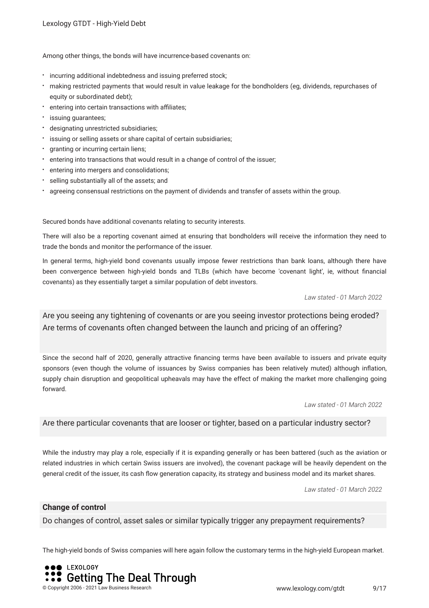Among other things, the bonds will have incurrence-based covenants on:

- $\cdot$  incurring additional indebtedness and issuing preferred stock;
- making restricted payments that would result in value leakage for the bondholders (eg, dividends, repurchases of equity or subordinated debt);
- \* entering into certain transactions with affiliates;
- issuing guarantees;
- designating unrestricted subsidiaries;
- **:** issuing or selling assets or share capital of certain subsidiaries;
- granting or incurring certain liens;
- $\bullet$ entering into transactions that would result in a change of control of the issuer;
- entering into mergers and consolidations;
- selling substantially all of the assets; and
- agreeing consensual restrictions on the payment of dividends and transfer of assets within the group.

Secured bonds have additional covenants relating to security interests.

There will also be a reporting covenant aimed at ensuring that bondholders will receive the information they need to trade the bonds and monitor the performance of the issuer.

In general terms, high-yield bond covenants usually impose fewer restrictions than bank loans, although there have been convergence between high-yield bonds and TLBs (which have become 'covenant light', ie, without fnancial covenants) as they essentially target a similar population of debt investors.

*Law stated - 01 March 2022*

Are you seeing any tightening of covenants or are you seeing investor protections being eroded? Are terms of covenants often changed between the launch and pricing of an offering?

Since the second half of 2020, generally attractive fnancing terms have been available to issuers and private equity sponsors (even though the volume of issuances by Swiss companies has been relatively muted) although infation, supply chain disruption and geopolitical upheavals may have the effect of making the market more challenging going forward.

*Law stated - 01 March 2022*

Are there particular covenants that are looser or tighter, based on a particular industry sector?

While the industry may play a role, especially if it is expanding generally or has been battered (such as the aviation or related industries in which certain Swiss issuers are involved), the covenant package will be heavily dependent on the general credit of the issuer, its cash fow generation capacity, its strategy and business model and its market shares.

*Law stated - 01 March 2022*

#### **Change of control**

Do changes of control, asset sales or similar typically trigger any prepayment requirements?

The high-yield bonds of Swiss companies will here again follow the customary terms in the high-yield European market.

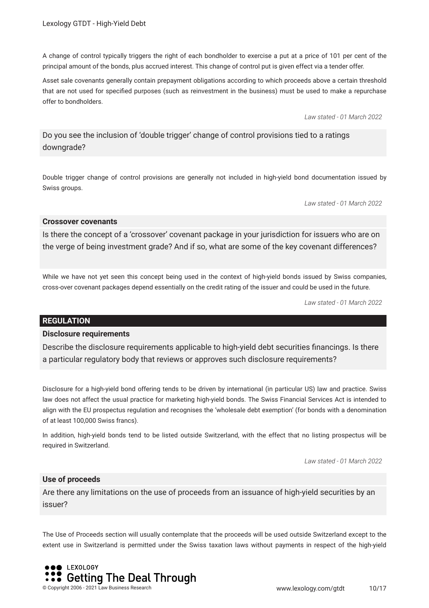A change of control typically triggers the right of each bondholder to exercise a put at a price of 101 per cent of the principal amount of the bonds, plus accrued interest. This change of control put is given effect via a tender offer.

Asset sale covenants generally contain prepayment obligations according to which proceeds above a certain threshold that are not used for specifed purposes (such as reinvestment in the business) must be used to make a repurchase offer to bondholders.

*Law stated - 01 March 2022*

Do you see the inclusion of 'double trigger' change of control provisions tied to a ratings downgrade?

Double trigger change of control provisions are generally not included in high-yield bond documentation issued by Swiss groups.

*Law stated - 01 March 2022*

#### **Crossover covenants**

Is there the concept of a 'crossover' covenant package in your jurisdiction for issuers who are on the verge of being investment grade? And if so, what are some of the key covenant differences?

While we have not yet seen this concept being used in the context of high-yield bonds issued by Swiss companies, cross-over covenant packages depend essentially on the credit rating of the issuer and could be used in the future.

*Law stated - 01 March 2022*

#### **REGULATION**

#### **Disclosure requirements**

Describe the disclosure requirements applicable to high-yield debt securities fnancings. Is there a particular regulatory body that reviews or approves such disclosure requirements?

Disclosure for a high-yield bond offering tends to be driven by international (in particular US) law and practice. Swiss law does not affect the usual practice for marketing high-yield bonds. The Swiss Financial Services Act is intended to align with the EU prospectus regulation and recognises the 'wholesale debt exemption' (for bonds with a denomination of at least 100,000 Swiss francs).

In addition, high-yield bonds tend to be listed outside Switzerland, with the effect that no listing prospectus will be required in Switzerland.

*Law stated - 01 March 2022*

#### **Use of proceeds**

Are there any limitations on the use of proceeds from an issuance of high-yield securities by an issuer?

The Use of Proceeds section will usually contemplate that the proceeds will be used outside Switzerland except to the extent use in Switzerland is permitted under the Swiss taxation laws without payments in respect of the high-yield

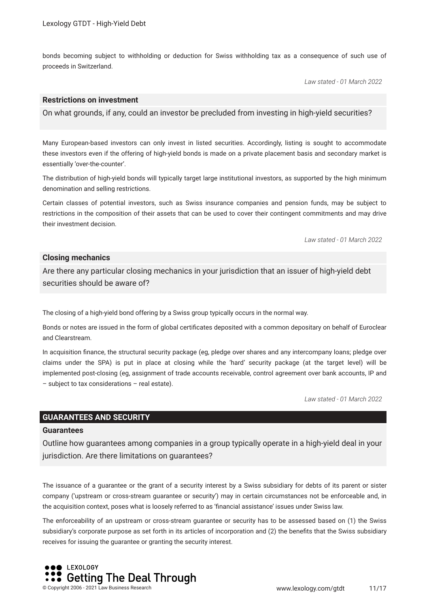bonds becoming subject to withholding or deduction for Swiss withholding tax as a consequence of such use of proceeds in Switzerland.

*Law stated - 01 March 2022*

#### **Restrictions on investment**

On what grounds, if any, could an investor be precluded from investing in high-yield securities?

Many European-based investors can only invest in listed securities. Accordingly, listing is sought to accommodate these investors even if the offering of high-yield bonds is made on a private placement basis and secondary market is essentially 'over-the-counter'.

The distribution of high-yield bonds will typically target large institutional investors, as supported by the high minimum denomination and selling restrictions.

Certain classes of potential investors, such as Swiss insurance companies and pension funds, may be subject to restrictions in the composition of their assets that can be used to cover their contingent commitments and may drive their investment decision.

*Law stated - 01 March 2022*

#### **Closing mechanics**

Are there any particular closing mechanics in your jurisdiction that an issuer of high-yield debt securities should be aware of?

The closing of a high-yield bond offering by a Swiss group typically occurs in the normal way.

Bonds or notes are issued in the form of global certifcates deposited with a common depositary on behalf of Euroclear and Clearstream.

In acquisition fnance, the structural security package (eg, pledge over shares and any intercompany loans; pledge over claims under the SPA) is put in place at closing while the 'hard' security package (at the target level) will be implemented post-closing (eg, assignment of trade accounts receivable, control agreement over bank accounts, IP and – subject to tax considerations – real estate).

*Law stated - 01 March 2022*

#### **GUARANTEES AND SECURITY**

#### **Guarantees**

Outline how guarantees among companies in a group typically operate in a high-yield deal in your jurisdiction. Are there limitations on guarantees?

The issuance of a guarantee or the grant of a security interest by a Swiss subsidiary for debts of its parent or sister company ('upstream or cross-stream guarantee or security') may in certain circumstances not be enforceable and, in the acquisition context, poses what is loosely referred to as 'fnancial assistance' issues under Swiss law.

The enforceability of an upstream or cross-stream guarantee or security has to be assessed based on (1) the Swiss subsidiary's corporate purpose as set forth in its articles of incorporation and (2) the benefts that the Swiss subsidiary receives for issuing the guarantee or granting the security interest.

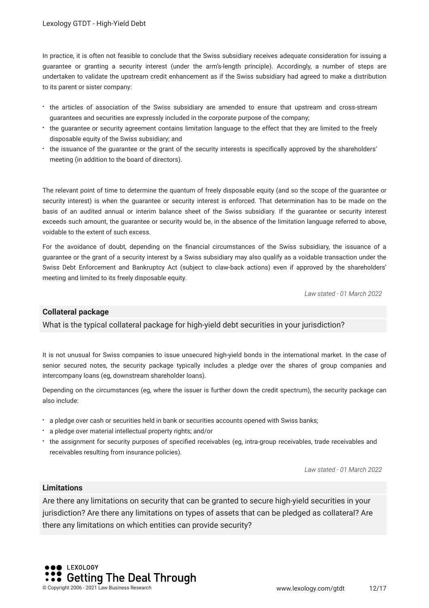In practice, it is often not feasible to conclude that the Swiss subsidiary receives adequate consideration for issuing a guarantee or granting a security interest (under the arm's-length principle). Accordingly, a number of steps are undertaken to validate the upstream credit enhancement as if the Swiss subsidiary had agreed to make a distribution to its parent or sister company:

- the articles of association of the Swiss subsidiary are amended to ensure that upstream and cross-stream guarantees and securities are expressly included in the corporate purpose of the company;
- the guarantee or security agreement contains limitation language to the effect that they are limited to the freely disposable equity of the Swiss subsidiary; and
- the issuance of the guarantee or the grant of the security interests is specifcally approved by the shareholders' meeting (in addition to the board of directors).

The relevant point of time to determine the quantum of freely disposable equity (and so the scope of the guarantee or security interest) is when the guarantee or security interest is enforced. That determination has to be made on the basis of an audited annual or interim balance sheet of the Swiss subsidiary. If the guarantee or security interest exceeds such amount, the guarantee or security would be, in the absence of the limitation language referred to above, voidable to the extent of such excess.

For the avoidance of doubt, depending on the fnancial circumstances of the Swiss subsidiary, the issuance of a guarantee or the grant of a security interest by a Swiss subsidiary may also qualify as a voidable transaction under the Swiss Debt Enforcement and Bankruptcy Act (subject to claw-back actions) even if approved by the shareholders' meeting and limited to its freely disposable equity.

*Law stated - 01 March 2022*

#### **Collateral package**

#### What is the typical collateral package for high-yield debt securities in your jurisdiction?

It is not unusual for Swiss companies to issue unsecured high-yield bonds in the international market. In the case of senior secured notes, the security package typically includes a pledge over the shares of group companies and intercompany loans (eg, downstream shareholder loans).

Depending on the circumstances (eg, where the issuer is further down the credit spectrum), the security package can also include:

- a pledge over cash or securities held in bank or securities accounts opened with Swiss banks;
- a pledge over material intellectual property rights; and/or
- the assignment for security purposes of specifed receivables (eg, intra-group receivables, trade receivables and receivables resulting from insurance policies).

*Law stated - 01 March 2022*

#### **Limitations**

Are there any limitations on security that can be granted to secure high-yield securities in your jurisdiction? Are there any limitations on types of assets that can be pledged as collateral? Are there any limitations on which entities can provide security?

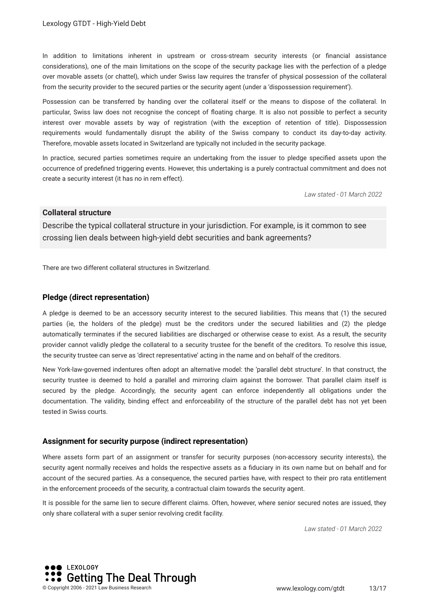In addition to limitations inherent in upstream or cross-stream security interests (or financial assistance considerations), one of the main limitations on the scope of the security package lies with the perfection of a pledge over movable assets (or chattel), which under Swiss law requires the transfer of physical possession of the collateral from the security provider to the secured parties or the security agent (under a 'dispossession requirement').

Possession can be transferred by handing over the collateral itself or the means to dispose of the collateral. In particular, Swiss law does not recognise the concept of foating charge. It is also not possible to perfect a security interest over movable assets by way of registration (with the exception of retention of title). Dispossession requirements would fundamentally disrupt the ability of the Swiss company to conduct its day-to-day activity. Therefore, movable assets located in Switzerland are typically not included in the security package.

In practice, secured parties sometimes require an undertaking from the issuer to pledge specifed assets upon the occurrence of predefned triggering events. However, this undertaking is a purely contractual commitment and does not create a security interest (it has no in rem effect).

*Law stated - 01 March 2022*

#### **Collateral structure**

Describe the typical collateral structure in your jurisdiction. For example, is it common to see crossing lien deals between high-yield debt securities and bank agreements?

There are two different collateral structures in Switzerland.

#### **Pledge (direct representation)**

A pledge is deemed to be an accessory security interest to the secured liabilities. This means that (1) the secured parties (ie, the holders of the pledge) must be the creditors under the secured liabilities and (2) the pledge automatically terminates if the secured liabilities are discharged or otherwise cease to exist. As a result, the security provider cannot validly pledge the collateral to a security trustee for the beneft of the creditors. To resolve this issue, the security trustee can serve as 'direct representative' acting in the name and on behalf of the creditors.

New York-law-governed indentures often adopt an alternative model: the 'parallel debt structure'. In that construct, the security trustee is deemed to hold a parallel and mirroring claim against the borrower. That parallel claim itself is secured by the pledge. Accordingly, the security agent can enforce independently all obligations under the documentation. The validity, binding effect and enforceability of the structure of the parallel debt has not yet been tested in Swiss courts.

#### **Assignment for security purpose (indirect representation)**

Where assets form part of an assignment or transfer for security purposes (non-accessory security interests), the security agent normally receives and holds the respective assets as a fduciary in its own name but on behalf and for account of the secured parties. As a consequence, the secured parties have, with respect to their pro rata entitlement in the enforcement proceeds of the security, a contractual claim towards the security agent.

It is possible for the same lien to secure different claims. Often, however, where senior secured notes are issued, they only share collateral with a super senior revolving credit facility.

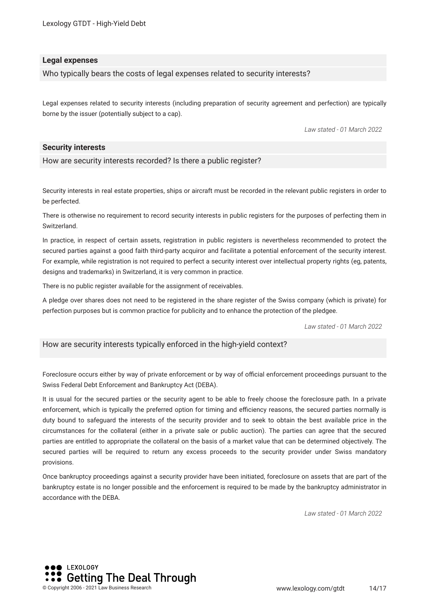Lexology GTDT - High-Yield Debt

#### **Legal expenses**

Who typically bears the costs of legal expenses related to security interests?

Legal expenses related to security interests (including preparation of security agreement and perfection) are typically borne by the issuer (potentially subject to a cap).

*Law stated - 01 March 2022*

#### **Security interests**

How are security interests recorded? Is there a public register?

Security interests in real estate properties, ships or aircraft must be recorded in the relevant public registers in order to be perfected.

There is otherwise no requirement to record security interests in public registers for the purposes of perfecting them in Switzerland.

In practice, in respect of certain assets, registration in public registers is nevertheless recommended to protect the secured parties against a good faith third-party acquiror and facilitate a potential enforcement of the security interest. For example, while registration is not required to perfect a security interest over intellectual property rights (eg, patents, designs and trademarks) in Switzerland, it is very common in practice.

There is no public register available for the assignment of receivables.

A pledge over shares does not need to be registered in the share register of the Swiss company (which is private) for perfection purposes but is common practice for publicity and to enhance the protection of the pledgee.

*Law stated - 01 March 2022*

How are security interests typically enforced in the high-yield context?

Foreclosure occurs either by way of private enforcement or by way of official enforcement proceedings pursuant to the Swiss Federal Debt Enforcement and Bankruptcy Act (DEBA).

It is usual for the secured parties or the security agent to be able to freely choose the foreclosure path. In a private enforcement, which is typically the preferred option for timing and efficiency reasons, the secured parties normally is duty bound to safeguard the interests of the security provider and to seek to obtain the best available price in the circumstances for the collateral (either in a private sale or public auction). The parties can agree that the secured parties are entitled to appropriate the collateral on the basis of a market value that can be determined objectively. The secured parties will be required to return any excess proceeds to the security provider under Swiss mandatory provisions.

Once bankruptcy proceedings against a security provider have been initiated, foreclosure on assets that are part of the bankruptcy estate is no longer possible and the enforcement is required to be made by the bankruptcy administrator in accordance with the DEBA.

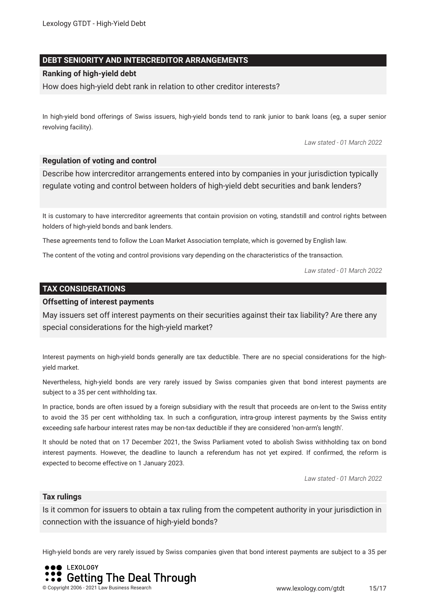#### **DEBT SENIORITY AND INTERCREDITOR ARRANGEMENTS**

#### **Ranking of high-yield debt**

How does high-yield debt rank in relation to other creditor interests?

In high-yield bond offerings of Swiss issuers, high-yield bonds tend to rank junior to bank loans (eg, a super senior revolving facility).

*Law stated - 01 March 2022*

#### **Regulation of voting and control**

Describe how intercreditor arrangements entered into by companies in your jurisdiction typically regulate voting and control between holders of high-yield debt securities and bank lenders?

It is customary to have intercreditor agreements that contain provision on voting, standstill and control rights between holders of high-yield bonds and bank lenders.

These agreements tend to follow the Loan Market Association template, which is governed by English law.

The content of the voting and control provisions vary depending on the characteristics of the transaction.

*Law stated - 01 March 2022*

#### **TAX CONSIDERATIONS**

#### **Offsetting of interest payments**

May issuers set off interest payments on their securities against their tax liability? Are there any special considerations for the high-yield market?

Interest payments on high-yield bonds generally are tax deductible. There are no special considerations for the highyield market.

Nevertheless, high-yield bonds are very rarely issued by Swiss companies given that bond interest payments are subject to a 35 per cent withholding tax.

In practice, bonds are often issued by a foreign subsidiary with the result that proceeds are on-lent to the Swiss entity to avoid the 35 per cent withholding tax. In such a confguration, intra-group interest payments by the Swiss entity exceeding safe harbour interest rates may be non-tax deductible if they are considered 'non-arm's length'.

It should be noted that on 17 December 2021, the Swiss Parliament voted to abolish Swiss withholding tax on bond interest payments. However, the deadline to launch a referendum has not yet expired. If confrmed, the reform is expected to become effective on 1 January 2023.

*Law stated - 01 March 2022*

#### **Tax rulings**

Is it common for issuers to obtain a tax ruling from the competent authority in your jurisdiction in connection with the issuance of high-yield bonds?

High-yield bonds are very rarely issued by Swiss companies given that bond interest payments are subject to a 35 per

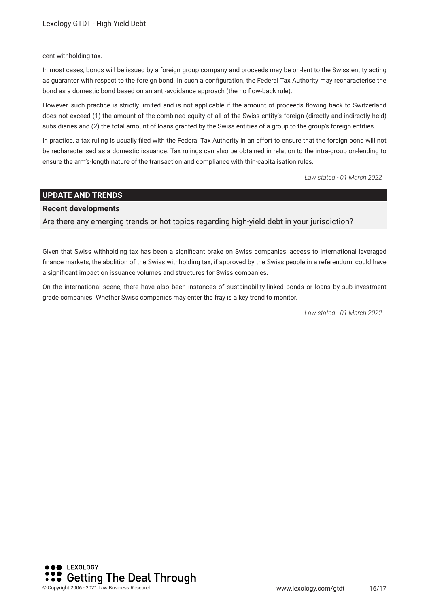cent withholding tax.

In most cases, bonds will be issued by a foreign group company and proceeds may be on-lent to the Swiss entity acting as guarantor with respect to the foreign bond. In such a confguration, the Federal Tax Authority may recharacterise the bond as a domestic bond based on an anti-avoidance approach (the no flow-back rule).

However, such practice is strictly limited and is not applicable if the amount of proceeds fowing back to Switzerland does not exceed (1) the amount of the combined equity of all of the Swiss entity's foreign (directly and indirectly held) subsidiaries and (2) the total amount of loans granted by the Swiss entities of a group to the group's foreign entities.

In practice, a tax ruling is usually fled with the Federal Tax Authority in an effort to ensure that the foreign bond will not be recharacterised as a domestic issuance. Tax rulings can also be obtained in relation to the intra-group on-lending to ensure the arm's-length nature of the transaction and compliance with thin-capitalisation rules.

*Law stated - 01 March 2022*

#### **UPDATE AND TRENDS**

#### **Recent developments**

Are there any emerging trends or hot topics regarding high-yield debt in your jurisdiction?

Given that Swiss withholding tax has been a signifcant brake on Swiss companies' access to international leveraged fnance markets, the abolition of the Swiss withholding tax, if approved by the Swiss people in a referendum, could have a signifcant impact on issuance volumes and structures for Swiss companies.

On the international scene, there have also been instances of sustainability-linked bonds or loans by sub-investment grade companies. Whether Swiss companies may enter the fray is a key trend to monitor.